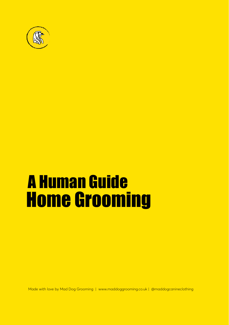

# A Human Guide Home Grooming

Made with love by Mad Dog Grooming | [www.maddoggrooming.co.uk |](https:// www.maddoggrooming.co.uk ) @maddogcanineclothing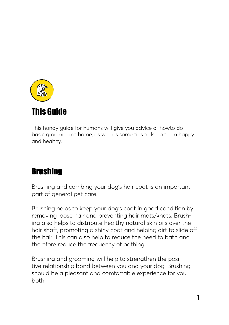

This handy guide for humans will give you advice of howto do basic grooming at home, as well as some tips to keep them happy and healthy.

# Brushing

Brushing and combing your dog's hair coat is an important part of general pet care.

Brushing helps to keep your dog's coat in good condition by removing loose hair and preventing hair mats/knots. Brushing also helps to distribute healthy natural skin oils over the hair shaft, promoting a shiny coat and helping dirt to slide off the hair. This can also help to reduce the need to bath and therefore reduce the frequency of bathing.

Brushing and grooming will help to strengthen the positive relationship bond between you and your dog. Brushing should be a pleasant and comfortable experience for you both.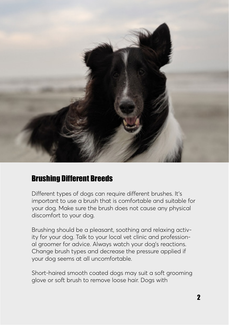

## Brushing Different Breeds

Different types of dogs can require different brushes. It's important to use a brush that is comfortable and suitable for your dog. Make sure the brush does not cause any physical discomfort to your dog.

Brushing should be a pleasant, soothing and relaxing activity for your dog. Talk to your local vet clinic and professional groomer for advice. Always watch your dog's reactions. Change brush types and decrease the pressure applied if your dog seems at all uncomfortable.

Short-haired smooth coated dogs may suit a soft grooming glove or soft brush to remove loose hair. Dogs with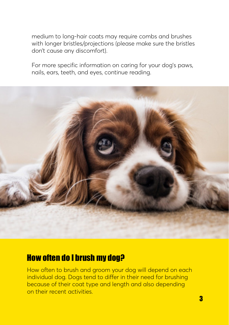medium to long-hair coats may require combs and brushes with longer bristles/projections (please make sure the bristles don't cause any discomfort).

For more specific information on caring for your dog's paws, nails, ears, teeth, and eyes, continue reading.



#### How often do I brush my dog?

How often to brush and groom your dog will depend on each individual dog. Dogs tend to differ in their need for brushing because of their coat type and length and also depending on their recent activities.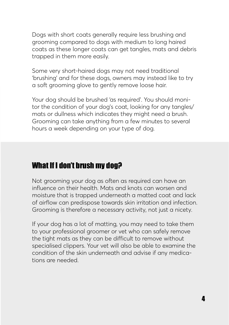Dogs with short coats generally require less brushing and grooming compared to dogs with medium to long haired coats as these longer coats can get tangles, mats and debris trapped in them more easily.

Some very short-haired dogs may not need traditional 'brushing' and for these dogs, owners may instead like to try a soft grooming glove to gently remove loose hair.

Your dog should be brushed 'as required'. You should monitor the condition of your dog's coat, looking for any tangles/ mats or dullness which indicates they might need a brush. Grooming can take anything from a few minutes to several hours a week depending on your type of dog.

## What If I don't brush my dog?

Not grooming your dog as often as required can have an influence on their health. Mats and knots can worsen and moisture that is trapped underneath a matted coat and lack of airflow can predispose towards skin irritation and infection. Grooming is therefore a necessary activity, not just a nicety.

If your dog has a lot of matting, you may need to take them to your professional groomer or vet who can safely remove the tight mats as they can be difficult to remove without specialised clippers. Your vet will also be able to examine the condition of the skin underneath and advise if any medications are needed.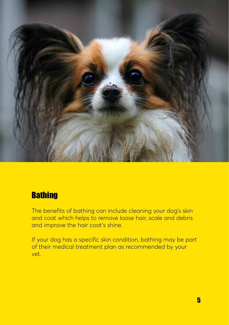

#### **Bathing**

The benefits of bathing can include cleaning your dog's skin and coat which helps to remove loose hair, scale and debris and improve the hair coat's shine.

If your dog has a specific skin condition, bathing may be part of their medical treatment plan as recommended by your vet.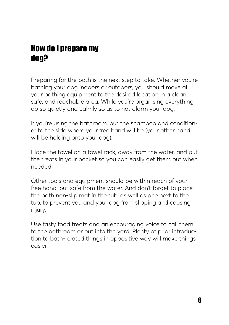# How do I prepare my dog?

Preparing for the bath is the next step to take. Whether you're bathing your dog indoors or outdoors, you should move all your bathing equipment to the desired location in a clean, safe, and reachable area. While you're organising everything, do so quietly and calmly so as to not alarm your dog.

If you're using the bathroom, put the shampoo and conditioner to the side where your free hand will be (your other hand will be holding onto your dog).

Place the towel on a towel rack, away from the water, and put the treats in your pocket so you can easily get them out when needed.

Other tools and equipment should be within reach of your free hand, but safe from the water. And don't forget to place the bath non-slip mat in the tub, as well as one next to the tub, to prevent you and your dog from slipping and causing injury.

Use tasty food treats and an encouraging voice to call them to the bathroom or out into the yard. Plenty of prior introduction to bath-related things in appositive way will make things easier.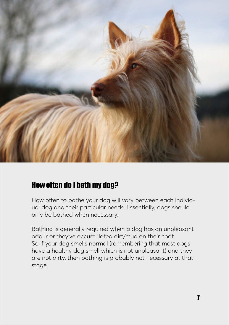

## How often do I bath my dog?

How often to bathe your dog will vary between each individual dog and their particular needs. Essentially, dogs should only be bathed when necessary.

Bathing is generally required when a dog has an unpleasant odour or they've accumulated dirt/mud on their coat. So if your dog smells normal (remembering that most dogs have a healthy dog smell which is not unpleasant) and they are not dirty, then bathing is probably not necessary at that stage.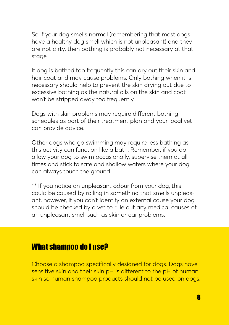So if your dog smells normal (remembering that most dogs have a healthy dog smell which is not unpleasant) and they are not dirty, then bathing is probably not necessary at that stage.

If dog is bathed too frequently this can dry out their skin and hair coat and may cause problems. Only bathing when it is necessary should help to prevent the skin drying out due to excessive bathing as the natural oils on the skin and coat won't be stripped away too frequently.

Dogs with skin problems may require different bathing schedules as part of their treatment plan and your local vet can provide advice.

Other dogs who go swimming may require less bathing as this activity can function like a bath. Remember, if you do allow your dog to swim occasionally, supervise them at all times and stick to safe and shallow waters where your dog can always touch the ground.

\*\* If you notice an unpleasant odour from your dog, this could be caused by rolling in something that smells unpleasant, however, if you can't identify an external cause your dog should be checked by a vet to rule out any medical causes of an unpleasant smell such as skin or ear problems.

#### What shampoo do I use?

Choose a shampoo specifically designed for dogs. Dogs have sensitive skin and their skin pH is different to the pH of human skin so human shampoo products should not be used on dogs.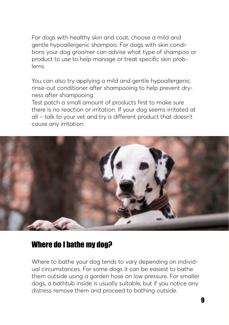For dogs with healthy skin and coat, choose a mild and gentle hypoallergenic shampoo. For dogs with skin conditions your dog groomer can advise what type of shampoo or product to use to help manage or treat specific skin problems.

You can also try applying a mild and gentle hypoallergenic rinse-out conditioner after shampooing to help prevent dryness after shampooing.

Test patch a small amount of products first to make sure there is no reaction or irritation. If your dog seems irritated at all – talk to your vet and try a different product that doesn't cause any irritation.



#### Where do I bathe my dog?

Where to bathe your dog tends to vary depending on individual circumstances. For some dogs it can be easiest to bathe them outside using a garden hose on low pressure. For smaller dogs, a bathtub inside is usually suitable, but if you notice any distress remove them and proceed to bathing outside.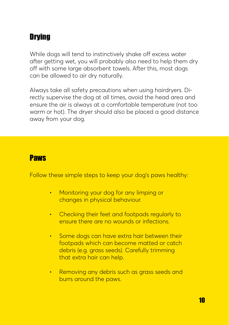# **Drying**

While dogs will tend to instinctively shake off excess water after getting wet, you will probably also need to help them dry off with some large absorbent towels. After this, most dogs can be allowed to air dry naturally.

Always take all safety precautions when using hairdryers. Directly supervise the dog at all times, avoid the head area and ensure the air is always at a comfortable temperature (not too warm or hot). The dryer should also be placed a good distance away from your dog.

#### **Paws**

Follow these simple steps to keep your dog's paws healthy:

- Monitoring your dog for any limping or changes in physical behaviour.
- Checking their feet and footpads regularly to ensure there are no wounds or infections.
- Some dogs can have extra hair between their footpads which can become matted or catch debris (e.g. grass seeds). Carefully trimming that extra hair can help.
- Removing any debris such as grass seeds and burrs around the paws.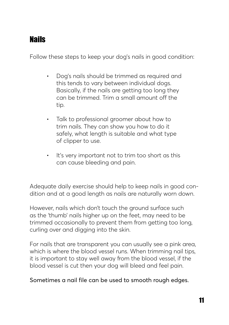## Nails

Follow these steps to keep your dog's nails in good condition:

- Dog's nails should be trimmed as required and this tends to vary between individual dogs. Basically, if the nails are getting too long they can be trimmed. Trim a small amount off the tip.
- Talk to professional groomer about how to trim nails. They can show you how to do it safely, what length is suitable and what type of clipper to use.
- It's very important not to trim too short as this can cause bleeding and pain.

Adequate daily exercise should help to keep nails in good condition and at a good length as nails are naturally worn down.

However, nails which don't touch the ground surface such as the 'thumb' nails higher up on the feet, may need to be trimmed occasionally to prevent them from getting too long, curling over and digging into the skin.

For nails that are transparent you can usually see a pink area, which is where the blood vessel runs. When trimming nail tips, it is important to stay well away from the blood vessel, if the blood vessel is cut then your dog will bleed and feel pain.

Sometimes a nail file can be used to smooth rough edges.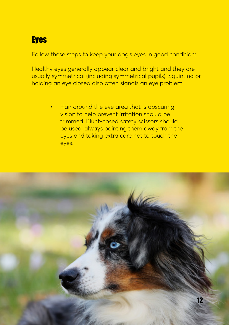# **Eyes**

Follow these steps to keep your dog's eyes in good condition:

Healthy eyes generally appear clear and bright and they are usually symmetrical (including symmetrical pupils). Squinting or holding an eye closed also often signals an eye problem.

> • Hair around the eye area that is obscuring vision to help prevent irritation should be trimmed. Blunt-nosed safety scissors should be used, always pointing them away from the eyes and taking extra care not to touch the eyes.

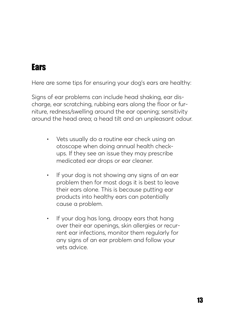# **Ears**

Here are some tips for ensuring your dog's ears are healthy:

Signs of ear problems can include head shaking, ear discharge, ear scratching, rubbing ears along the floor or furniture, redness/swelling around the ear opening; sensitivity around the head area; a head tilt and an unpleasant odour.

- Vets usually do a routine ear check using an otoscope when doing annual health checkups. If they see an issue they may prescribe medicated ear drops or ear cleaner.
- If your dog is not showing any signs of an ear problem then for most dogs it is best to leave their ears alone. This is because putting ear products into healthy ears can potentially cause a problem.
- If your dog has long, droopy ears that hang over their ear openings, skin allergies or recurrent ear infections, monitor them regularly for any signs of an ear problem and follow your vets advice.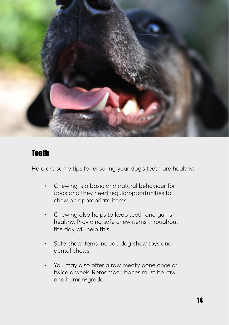

#### **Teeth**

Here are some tips for ensuring your dog's teeth are healthy:

- Chewing is a basic and natural behaviour for dogs and they need regularopportunities to chew on appropriate items.
- Chewing also helps to keep teeth and gums healthy. Providing safe chew items throughout the day will help this.
- Safe chew items include dog chew toys and dental chews.
- You may also offer a raw meaty bone once or twice a week. Remember, bones must be raw and human-grade.